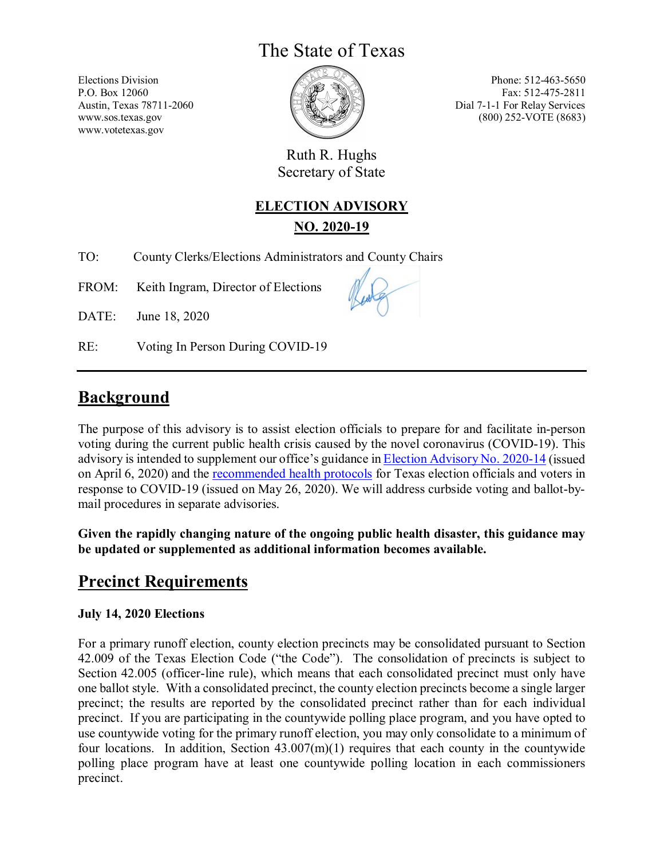# The State of Texas

Elections Division P.O. Box 12060 Austin, Texas 78711-2060 www.sos.texas.gov www.votetexas.gov

Phone: 512-463-5650 Fax: 512-475-2811 Dial 7-1-1 For Relay Services (800) 252-VOTE (8683)

Ruth R. Hughs Secretary of State

#### **ELECTION ADVISORY**

**NO. 2020-19** 

TO: County Clerks/Elections Administrators and County Chairs

FROM: Keith Ingram, Director of Elections

DATE: June 18, 2020

RE: Voting In Person During COVID-19

## **Background**

The purpose of this advisory is to assist election officials to prepare for and facilitate in-person voting during the current public health crisis caused by the novel coronavirus (COVID-19). This advisory is intended to supplement our office's guidance in [Election Advisory No. 2020-14](https://www.sos.state.tx.us/elections/laws/advisory2020-14.shtml) (issued on April 6, 2020) and the [recommended health protocols](https://www.sos.texas.gov/elections/forms/health-protocols-for-voters.pdf) for Texas election officials and voters in response to COVID-19 (issued on May 26, 2020). We will address curbside voting and ballot-bymail procedures in separate advisories.

**Given the rapidly changing nature of the ongoing public health disaster, this guidance may be updated or supplemented as additional information becomes available.** 

## **Precinct Requirements**

#### **July 14, 2020 Elections**

For a primary runoff election, county election precincts may be consolidated pursuant to Section 42.009 of the Texas Election Code ("the Code").The consolidation of precincts is subject to Section 42.005 (officer-line rule), which means that each consolidated precinct must only have one ballot style. With a consolidated precinct, the county election precincts become a single larger precinct; the results are reported by the consolidated precinct rather than for each individual precinct. If you are participating in the countywide polling place program, and you have opted to use countywide voting for the primary runoff election, you may only consolidate to a minimum of four locations. In addition, Section  $43.007(m)(1)$  requires that each county in the countywide polling place program have at least one countywide polling location in each commissioners precinct.

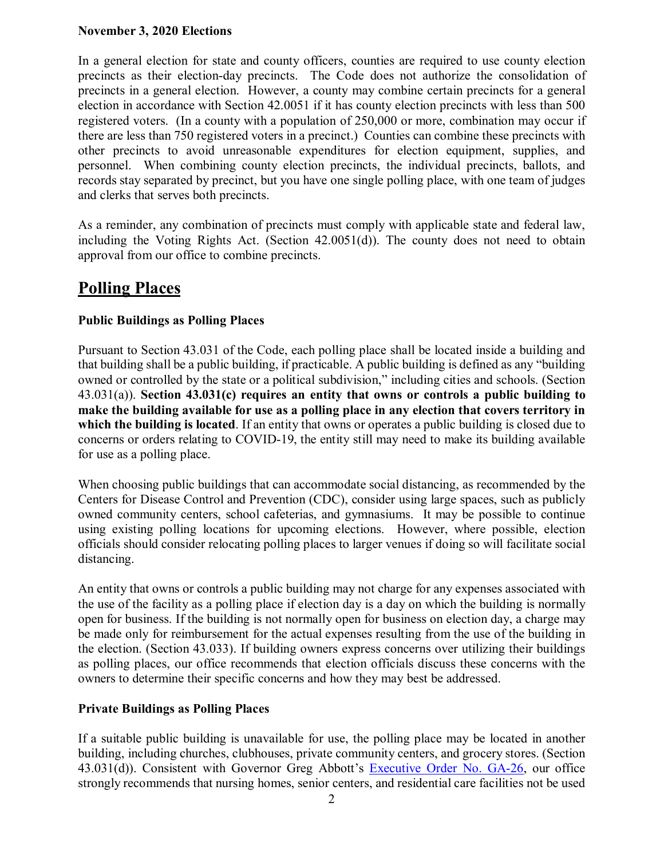#### **November 3, 2020 Elections**

In a general election for state and county officers, counties are required to use county election precincts as their election-day precincts. The Code does not authorize the consolidation of precincts in a general election. However, a county may combine certain precincts for a general election in accordance with Section 42.0051 if it has county election precincts with less than 500 registered voters. (In a county with a population of 250,000 or more, combination may occur if there are less than 750 registered voters in a precinct.) Counties can combine these precincts with other precincts to avoid unreasonable expenditures for election equipment, supplies, and personnel. When combining county election precincts, the individual precincts, ballots, and records stay separated by precinct, but you have one single polling place, with one team of judges and clerks that serves both precincts.

As a reminder, any combination of precincts must comply with applicable state and federal law, including the Voting Rights Act. (Section 42.0051(d)). The county does not need to obtain approval from our office to combine precincts.

## **Polling Places**

#### **Public Buildings as Polling Places**

Pursuant to Section 43.031 of the Code, each polling place shall be located inside a building and that building shall be a public building, if practicable. A public building is defined as any "building owned or controlled by the state or a political subdivision," including cities and schools. (Section 43.031(a)). **Section 43.031(c) requires an entity that owns or controls a public building to make the building available for use as a polling place in any election that covers territory in which the building is located**. If an entity that owns or operates a public building is closed due to concerns or orders relating to COVID-19, the entity still may need to make its building available for use as a polling place.

When choosing public buildings that can accommodate social distancing, as recommended by the Centers for Disease Control and Prevention (CDC), consider using large spaces, such as publicly owned community centers, school cafeterias, and gymnasiums. It may be possible to continue using existing polling locations for upcoming elections. However, where possible, election officials should consider relocating polling places to larger venues if doing so will facilitate social distancing.

An entity that owns or controls a public building may not charge for any expenses associated with the use of the facility as a polling place if election day is a day on which the building is normally open for business. If the building is not normally open for business on election day, a charge may be made only for reimbursement for the actual expenses resulting from the use of the building in the election. (Section 43.033). If building owners express concerns over utilizing their buildings as polling places, our office recommends that election officials discuss these concerns with the owners to determine their specific concerns and how they may best be addressed.

#### **Private Buildings as Polling Places**

If a suitable public building is unavailable for use, the polling place may be located in another building, including churches, clubhouses, private community centers, and grocery stores. (Section 43.031(d)). Consistent with Governor Greg Abbott's [Executive Order No. GA-26,](https://gov.texas.gov/uploads/files/press/EO-GA-26_expanded_opening_COVID-19.pdf) our office strongly recommends that nursing homes, senior centers, and residential care facilities not be used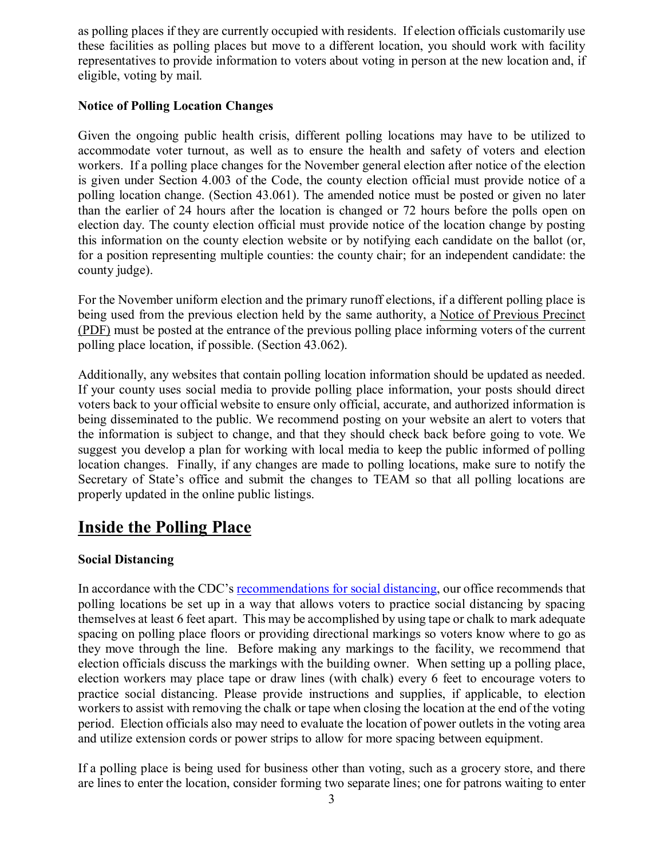as polling places if they are currently occupied with residents. If election officials customarily use these facilities as polling places but move to a different location, you should work with facility representatives to provide information to voters about voting in person at the new location and, if eligible, voting by mail.

#### **Notice of Polling Location Changes**

Given the ongoing public health crisis, different polling locations may have to be utilized to accommodate voter turnout, as well as to ensure the health and safety of voters and election workers. If a polling place changes for the November general election after notice of the election is given under Section 4.003 of the Code, the county election official must provide notice of a polling location change. (Section 43.061). The amended notice must be posted or given no later than the earlier of 24 hours after the location is changed or 72 hours before the polls open on election day. The county election official must provide notice of the location change by posting this information on the county election website or by notifying each candidate on the ballot (or, for a position representing multiple counties: the county chair; for an independent candidate: the county judge).

For the November uniform election and the primary runoff elections, if a different polling place is being used from the previous election held by the same authority, a [Notice of Previous Precinct](http://www.sos.state.tx.us/elections/forms/pol-sub/1-13f.pdf)  [\(PDF\)](http://www.sos.state.tx.us/elections/forms/pol-sub/1-13f.pdf) must be posted at the entrance of the previous polling place informing voters of the current polling place location, if possible. (Section 43.062).

Additionally, any websites that contain polling location information should be updated as needed. If your county uses social media to provide polling place information, your posts should direct voters back to your official website to ensure only official, accurate, and authorized information is being disseminated to the public. We recommend posting on your website an alert to voters that the information is subject to change, and that they should check back before going to vote. We suggest you develop a plan for working with local media to keep the public informed of polling location changes. Finally, if any changes are made to polling locations, make sure to notify the Secretary of State's office and submit the changes to TEAM so that all polling locations are properly updated in the online public listings.

### **Inside the Polling Place**

#### **Social Distancing**

In accordance with the CDC's [recommendations for social distancing,](https://www.cdc.gov/coronavirus/2019-ncov/prevent-getting-sick/social-distancing.html) our office recommends that polling locations be set up in a way that allows voters to practice social distancing by spacing themselves at least 6 feet apart. This may be accomplished by using tape or chalk to mark adequate spacing on polling place floors or providing directional markings so voters know where to go as they move through the line. Before making any markings to the facility, we recommend that election officials discuss the markings with the building owner. When setting up a polling place, election workers may place tape or draw lines (with chalk) every 6 feet to encourage voters to practice social distancing. Please provide instructions and supplies, if applicable, to election workers to assist with removing the chalk or tape when closing the location at the end of the voting period. Election officials also may need to evaluate the location of power outlets in the voting area and utilize extension cords or power strips to allow for more spacing between equipment.

If a polling place is being used for business other than voting, such as a grocery store, and there are lines to enter the location, consider forming two separate lines; one for patrons waiting to enter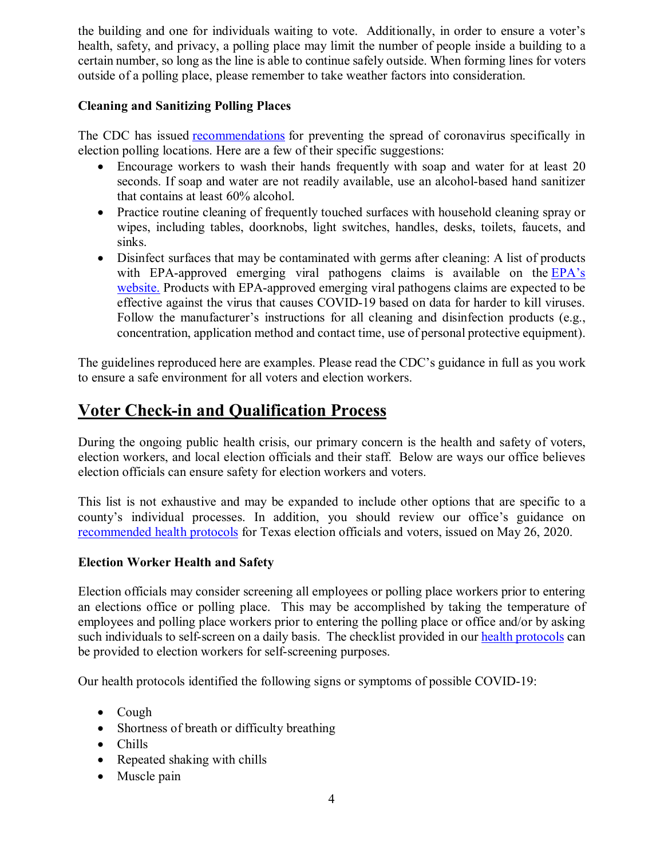the building and one for individuals waiting to vote. Additionally, in order to ensure a voter's health, safety, and privacy, a polling place may limit the number of people inside a building to a certain number, so long as the line is able to continue safely outside. When forming lines for voters outside of a polling place, please remember to take weather factors into consideration.

#### **Cleaning and Sanitizing Polling Places**

The CDC has issued [recommendations](https://www.cdc.gov/coronavirus/2019-ncov/community/election-polling-locations.html) for preventing the spread of coronavirus specifically in election polling locations. Here are a few of their specific suggestions:

- Encourage workers to wash their hands frequently with soap and water for at least 20 seconds. If soap and water are not readily available, use an alcohol-based hand sanitizer that contains at least 60% alcohol.
- Practice routine cleaning of frequently touched surfaces with household cleaning spray or wipes, including tables, doorknobs, light switches, handles, desks, toilets, faucets, and sinks.
- Disinfect surfaces that may be contaminated with germs after cleaning: A list of products with EPA-approved emerging viral pathogens claims is available on the EPA's [website.](https://www.epa.gov/pesticide-registration/list-n-disinfectants-use-against-sars-cov-2) Products with EPA-approved emerging viral pathogens claims are expected to be effective against the virus that causes COVID-19 based on data for harder to kill viruses. Follow the manufacturer's instructions for all cleaning and disinfection products (e.g., concentration, application method and contact time, use of personal protective equipment).

The guidelines reproduced here are examples. Please read the CDC's guidance in full as you work to ensure a safe environment for all voters and election workers.

# **Voter Check-in and Qualification Process**

During the ongoing public health crisis, our primary concern is the health and safety of voters, election workers, and local election officials and their staff.Below are ways our office believes election officials can ensure safety for election workers and voters.

This list is not exhaustive and may be expanded to include other options that are specific to a county's individual processes. In addition, you should review our office's guidance on [recommended health protocols](https://www.sos.texas.gov/elections/forms/health-protocols-for-voters.pdf) for Texas election officials and voters, issued on May 26, 2020.

#### **Election Worker Health and Safety**

Election officials may consider screening all employees or polling place workers prior to entering an elections office or polling place. This may be accomplished by taking the temperature of employees and polling place workers prior to entering the polling place or office and/or by asking such individuals to self-screen on a daily basis. The checklist provided in our [health p](https://www.sos.texas.gov/elections/forms/health-protocols-for-voters.pdf)rotocols can be provided to election workers for self-screening purposes.

Our health protocols identified the following signs or symptoms of possible COVID-19:

- Cough
- Shortness of breath or difficulty breathing
- Chills
- Repeated shaking with chills
- Muscle pain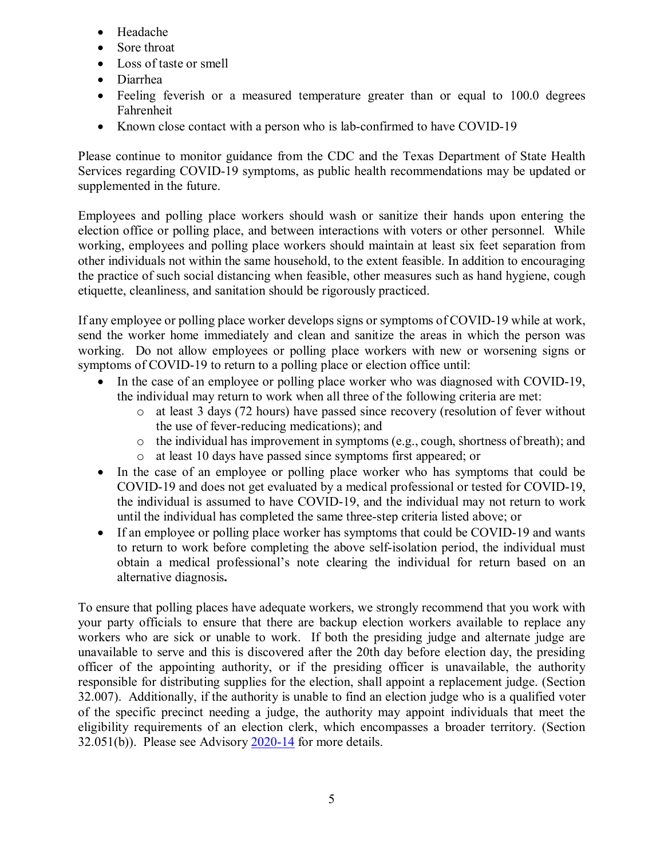- Headache
- Sore throat
- Loss of taste or smell
- Diarrhea
- Feeling feverish or a measured temperature greater than or equal to 100.0 degrees Fahrenheit
- Known close contact with a person who is lab-confirmed to have COVID-19

Please continue to monitor guidance from the CDC and the Texas Department of State Health Services regarding COVID-19 symptoms, as public health recommendations may be updated or supplemented in the future.

Employees and polling place workers should wash or sanitize their hands upon entering the election office or polling place, and between interactions with voters or other personnel. While working, employees and polling place workers should maintain at least six feet separation from other individuals not within the same household, to the extent feasible. In addition to encouraging the practice of such social distancing when feasible, other measures such as hand hygiene, cough etiquette, cleanliness, and sanitation should be rigorously practiced.

If any employee or polling place worker develops signs or symptoms of COVID-19 while at work, send the worker home immediately and clean and sanitize the areas in which the person was working. Do not allow employees or polling place workers with new or worsening signs or symptoms of COVID-19 to return to a polling place or election office until:

- In the case of an employee or polling place worker who was diagnosed with COVID-19, the individual may return to work when all three of the following criteria are met:
	- o at least 3 days (72 hours) have passed since recovery (resolution of fever without the use of fever-reducing medications); and
	- o the individual has improvement in symptoms (e.g., cough, shortness of breath); and
	- o at least 10 days have passed since symptoms first appeared; or
- In the case of an employee or polling place worker who has symptoms that could be COVID-19 and does not get evaluated by a medical professional or tested for COVID-19, the individual is assumed to have COVID-19, and the individual may not return to work until the individual has completed the same three-step criteria listed above; or
- If an employee or polling place worker has symptoms that could be COVID-19 and wants to return to work before completing the above self-isolation period, the individual must obtain a medical professional's note clearing the individual for return based on an alternative diagnosis**.**

To ensure that polling places have adequate workers, we strongly recommend that you work with your party officials to ensure that there are backup election workers available to replace any workers who are sick or unable to work. If both the presiding judge and alternate judge are unavailable to serve and this is discovered after the 20th day before election day, the presiding officer of the appointing authority, or if the presiding officer is unavailable, the authority responsible for distributing supplies for the election, shall appoint a replacement judge. (Section 32.007). Additionally, if the authority is unable to find an election judge who is a qualified voter of the specific precinct needing a judge, the authority may appoint individuals that meet the eligibility requirements of an election clerk, which encompasses a broader territory. (Section 32.051(b)). Please see Advisory [2020-14](https://www.sos.texas.gov/elections/laws/advisory2020-14.shtml) for more details.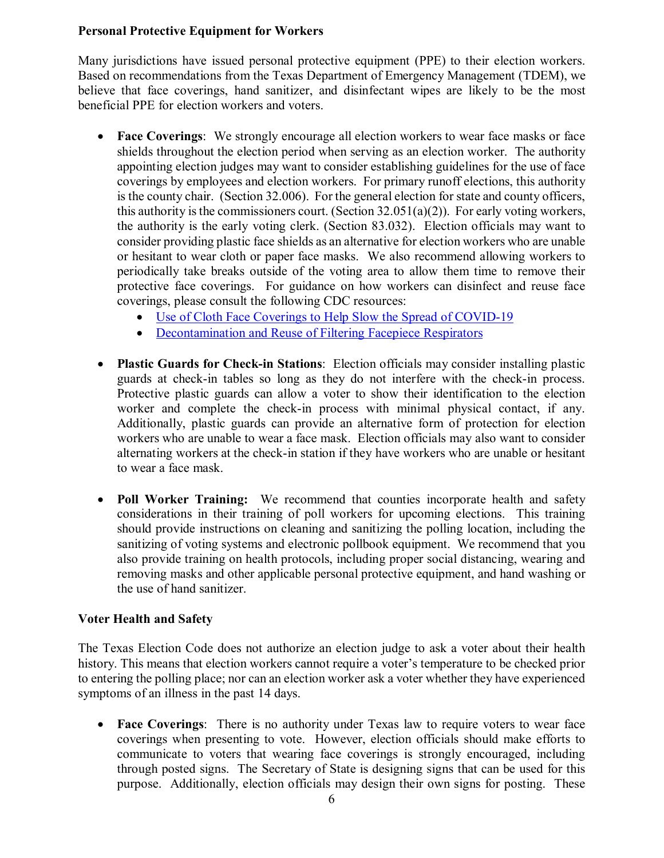#### **Personal Protective Equipment for Workers**

Many jurisdictions have issued personal protective equipment (PPE) to their election workers. Based on recommendations from the Texas Department of Emergency Management (TDEM), we believe that face coverings, hand sanitizer, and disinfectant wipes are likely to be the most beneficial PPE for election workers and voters.

- **Face Coverings**: We strongly encourage all election workers to wear face masks or face shields throughout the election period when serving as an election worker. The authority appointing election judges may want to consider establishing guidelines for the use of face coverings by employees and election workers. For primary runoff elections, this authority is the county chair. (Section 32.006). For the general election for state and county officers, this authority is the commissioners court. (Section  $32.051(a)(2)$ ). For early voting workers, the authority is the early voting clerk. (Section 83.032). Election officials may want to consider providing plastic face shields as an alternative for election workers who are unable or hesitant to wear cloth or paper face masks. We also recommend allowing workers to periodically take breaks outside of the voting area to allow them time to remove their protective face coverings. For guidance on how workers can disinfect and reuse face coverings, please consult the following CDC resources:
	- [Use of Cloth Face Coverings to Help Slow the Spread of COVID-19](https://www.cdc.gov/coronavirus/2019-ncov/prevent-getting-sick/diy-cloth-face-coverings.html)
	- [Decontamination and Reuse of Filtering Facepiece Respirators](https://www.cdc.gov/coronavirus/2019-ncov/hcp/ppe-strategy/decontamination-reuse-respirators.html)
- **Plastic Guards for Check-in Stations**: Election officials may consider installing plastic guards at check-in tables so long as they do not interfere with the check-in process. Protective plastic guards can allow a voter to show their identification to the election worker and complete the check-in process with minimal physical contact, if any. Additionally, plastic guards can provide an alternative form of protection for election workers who are unable to wear a face mask. Election officials may also want to consider alternating workers at the check-in station if they have workers who are unable or hesitant to wear a face mask.
- **Poll Worker Training:** We recommend that counties incorporate health and safety considerations in their training of poll workers for upcoming elections. This training should provide instructions on cleaning and sanitizing the polling location, including the sanitizing of voting systems and electronic pollbook equipment. We recommend that you also provide training on health protocols, including proper social distancing, wearing and removing masks and other applicable personal protective equipment, and hand washing or the use of hand sanitizer.

#### **Voter Health and Safety**

The Texas Election Code does not authorize an election judge to ask a voter about their health history. This means that election workers cannot require a voter's temperature to be checked prior to entering the polling place; nor can an election worker ask a voter whether they have experienced symptoms of an illness in the past 14 days.

• **Face Coverings:** There is no authority under Texas law to require voters to wear face coverings when presenting to vote. However, election officials should make efforts to communicate to voters that wearing face coverings is strongly encouraged, including through posted signs. The Secretary of State is designing signs that can be used for this purpose. Additionally, election officials may design their own signs for posting. These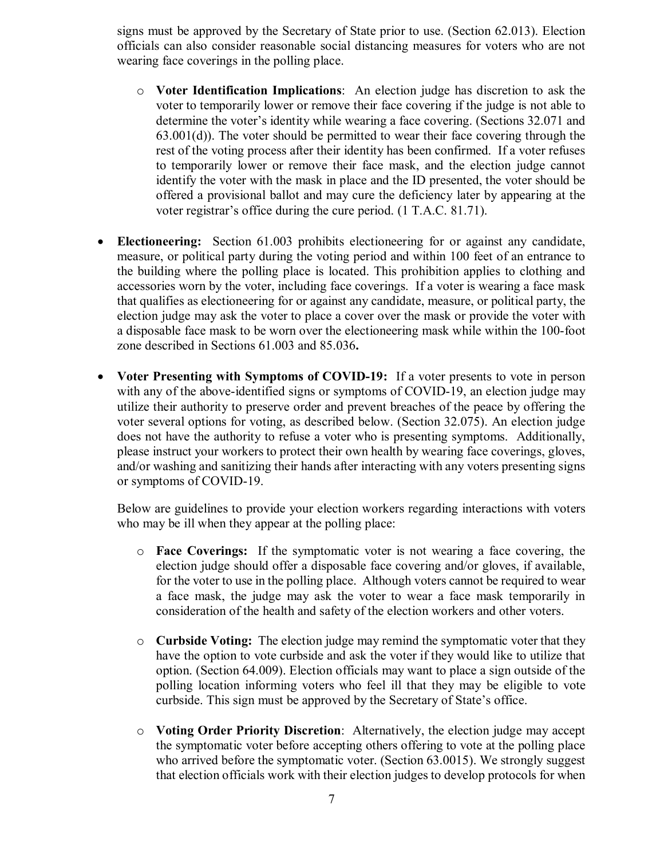signs must be approved by the Secretary of State prior to use. (Section 62.013). Election officials can also consider reasonable social distancing measures for voters who are not wearing face coverings in the polling place.

- o **Voter Identification Implications**: An election judge has discretion to ask the voter to temporarily lower or remove their face covering if the judge is not able to determine the voter's identity while wearing a face covering. (Sections 32.071 and  $63.001(d)$ . The voter should be permitted to wear their face covering through the rest of the voting process after their identity has been confirmed. If a voter refuses to temporarily lower or remove their face mask, and the election judge cannot identify the voter with the mask in place and the ID presented, the voter should be offered a provisional ballot and may cure the deficiency later by appearing at the voter registrar's office during the cure period. (1 T.A.C. 81.71).
- **Electioneering:** Section 61.003 prohibits electioneering for or against any candidate, measure, or political party during the voting period and within 100 feet of an entrance to the building where the polling place is located. This prohibition applies to clothing and accessories worn by the voter, including face coverings. If a voter is wearing a face mask that qualifies as electioneering for or against any candidate, measure, or political party, the election judge may ask the voter to place a cover over the mask or provide the voter with a disposable face mask to be worn over the electioneering mask while within the 100-foot zone described in Sections 61.003 and 85.036**.**
- **Voter Presenting with Symptoms of COVID-19:** If a voter presents to vote in person with any of the above-identified signs or symptoms of COVID-19, an election judge may utilize their authority to preserve order and prevent breaches of the peace by offering the voter several options for voting, as described below. (Section 32.075). An election judge does not have the authority to refuse a voter who is presenting symptoms. Additionally, please instruct your workers to protect their own health by wearing face coverings, gloves, and/or washing and sanitizing their hands after interacting with any voters presenting signs or symptoms of COVID-19.

Below are guidelines to provide your election workers regarding interactions with voters who may be ill when they appear at the polling place:

- o **Face Coverings:** If the symptomatic voter is not wearing a face covering, the election judge should offer a disposable face covering and/or gloves, if available, for the voter to use in the polling place.Although voters cannot be required to wear a face mask, the judge may ask the voter to wear a face mask temporarily in consideration of the health and safety of the election workers and other voters.
- o **Curbside Voting:** The election judge may remind the symptomatic voter that they have the option to vote curbside and ask the voter if they would like to utilize that option. (Section 64.009). Election officials may want to place a sign outside of the polling location informing voters who feel ill that they may be eligible to vote curbside. This sign must be approved by the Secretary of State's office.
- o **Voting Order Priority Discretion**: Alternatively, the election judge may accept the symptomatic voter before accepting others offering to vote at the polling place who arrived before the symptomatic voter. (Section 63.0015). We strongly suggest that election officials work with their election judges to develop protocols for when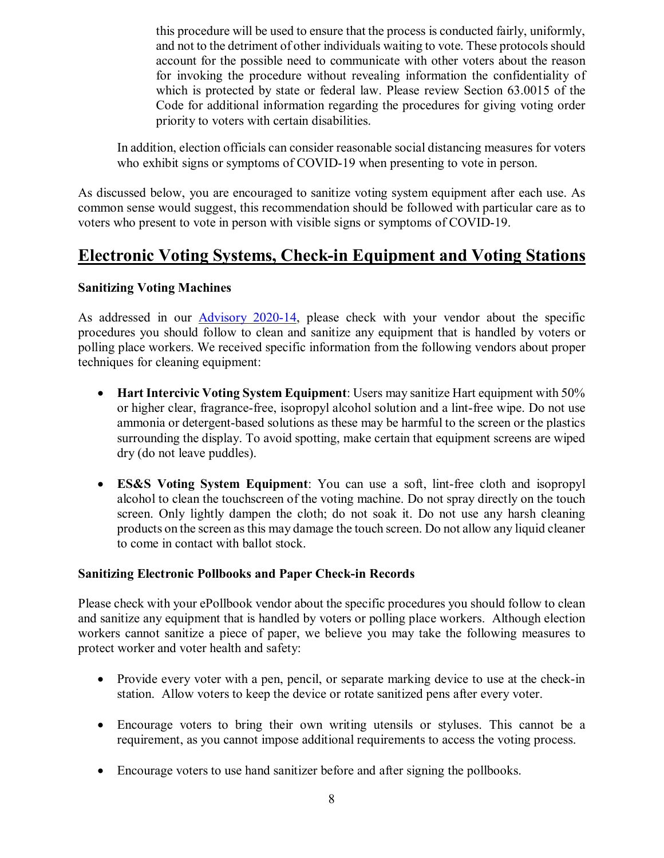this procedure will be used to ensure that the process is conducted fairly, uniformly, and not to the detriment of other individuals waiting to vote. These protocols should account for the possible need to communicate with other voters about the reason for invoking the procedure without revealing information the confidentiality of which is protected by state or federal law. Please review Section 63.0015 of the Code for additional information regarding the procedures for giving voting order priority to voters with certain disabilities.

In addition, election officials can consider reasonable social distancing measures for voters who exhibit signs or symptoms of COVID-19 when presenting to vote in person.

As discussed below, you are encouraged to sanitize voting system equipment after each use. As common sense would suggest, this recommendation should be followed with particular care as to voters who present to vote in person with visible signs or symptoms of COVID-19.

### **Electronic Voting Systems, Check-in Equipment and Voting Stations**

#### **Sanitizing Voting Machines**

As addressed in our [Advisory](https://www.sos.state.tx.us/elections/laws/advisory2020-14.shtml) 2020-14, please check with your vendor about the specific procedures you should follow to clean and sanitize any equipment that is handled by voters or polling place workers. We received specific information from the following vendors about proper techniques for cleaning equipment:

- **Hart Intercivic Voting System Equipment**: Users may sanitize Hart equipment with 50% or higher clear, fragrance-free, isopropyl alcohol solution and a lint-free wipe. Do not use ammonia or detergent-based solutions as these may be harmful to the screen or the plastics surrounding the display. To avoid spotting, make certain that equipment screens are wiped dry (do not leave puddles).
- **ES&S Voting System Equipment**: You can use a soft, lint-free cloth and isopropyl alcohol to clean the touchscreen of the voting machine. Do not spray directly on the touch screen. Only lightly dampen the cloth; do not soak it. Do not use any harsh cleaning products on the screen as this may damage the touch screen. Do not allow any liquid cleaner to come in contact with ballot stock.

#### **Sanitizing Electronic Pollbooks and Paper Check-in Records**

Please check with your ePollbook vendor about the specific procedures you should follow to clean and sanitize any equipment that is handled by voters or polling place workers. Although election workers cannot sanitize a piece of paper, we believe you may take the following measures to protect worker and voter health and safety:

- Provide every voter with a pen, pencil, or separate marking device to use at the check-in station. Allow voters to keep the device or rotate sanitized pens after every voter.
- Encourage voters to bring their own writing utensils or styluses. This cannot be a requirement, as you cannot impose additional requirements to access the voting process.
- Encourage voters to use hand sanitizer before and after signing the pollbooks.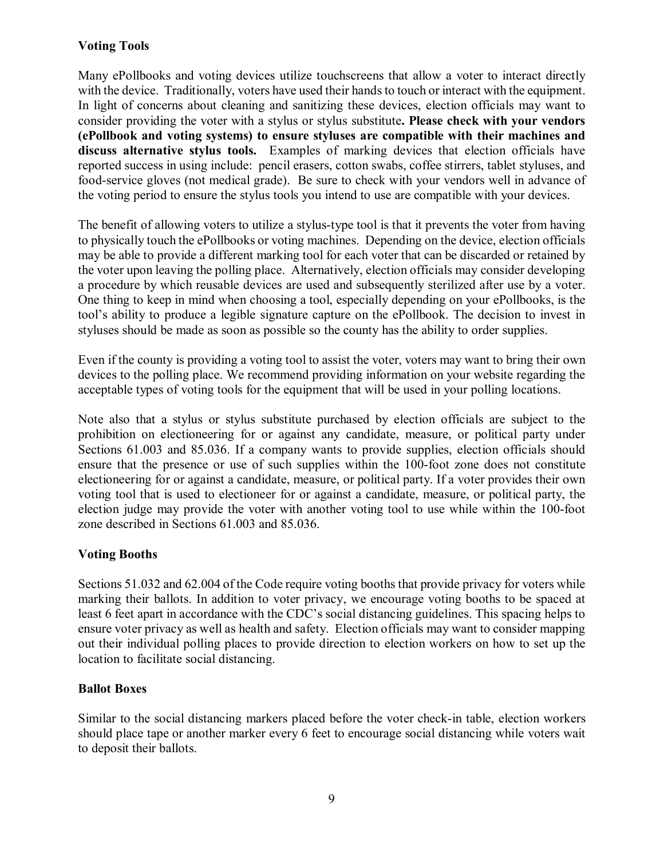#### **Voting Tools**

Many ePollbooks and voting devices utilize touchscreens that allow a voter to interact directly with the device. Traditionally, voters have used their hands to touch or interact with the equipment. In light of concerns about cleaning and sanitizing these devices, election officials may want to consider providing the voter with a stylus or stylus substitute**. Please check with your vendors (ePollbook and voting systems) to ensure styluses are compatible with their machines and discuss alternative stylus tools.** Examples of marking devices that election officials have reported success in using include: pencil erasers, cotton swabs, coffee stirrers, tablet styluses, and food-service gloves (not medical grade). Be sure to check with your vendors well in advance of the voting period to ensure the stylus tools you intend to use are compatible with your devices.

The benefit of allowing voters to utilize a stylus-type tool is that it prevents the voter from having to physically touch the ePollbooks or voting machines. Depending on the device, election officials may be able to provide a different marking tool for each voter that can be discarded or retained by the voter upon leaving the polling place. Alternatively, election officials may consider developing a procedure by which reusable devices are used and subsequently sterilized after use by a voter. One thing to keep in mind when choosing a tool, especially depending on your ePollbooks, is the tool's ability to produce a legible signature capture on the ePollbook. The decision to invest in styluses should be made as soon as possible so the county has the ability to order supplies.

Even if the county is providing a voting tool to assist the voter, voters may want to bring their own devices to the polling place. We recommend providing information on your website regarding the acceptable types of voting tools for the equipment that will be used in your polling locations.

Note also that a stylus or stylus substitute purchased by election officials are subject to the prohibition on electioneering for or against any candidate, measure, or political party under Sections 61.003 and 85.036. If a company wants to provide supplies, election officials should ensure that the presence or use of such supplies within the 100-foot zone does not constitute electioneering for or against a candidate, measure, or political party. If a voter provides their own voting tool that is used to electioneer for or against a candidate, measure, or political party, the election judge may provide the voter with another voting tool to use while within the 100-foot zone described in Sections 61.003 and 85.036.

#### **Voting Booths**

Sections 51.032 and 62.004 of the Code require voting booths that provide privacy for voters while marking their ballots. In addition to voter privacy, we encourage voting booths to be spaced at least 6 feet apart in accordance with the CDC's social distancing guidelines. This spacing helps to ensure voter privacy as well as health and safety. Election officials may want to consider mapping out their individual polling places to provide direction to election workers on how to set up the location to facilitate social distancing.

#### **Ballot Boxes**

Similar to the social distancing markers placed before the voter check-in table, election workers should place tape or another marker every 6 feet to encourage social distancing while voters wait to deposit their ballots.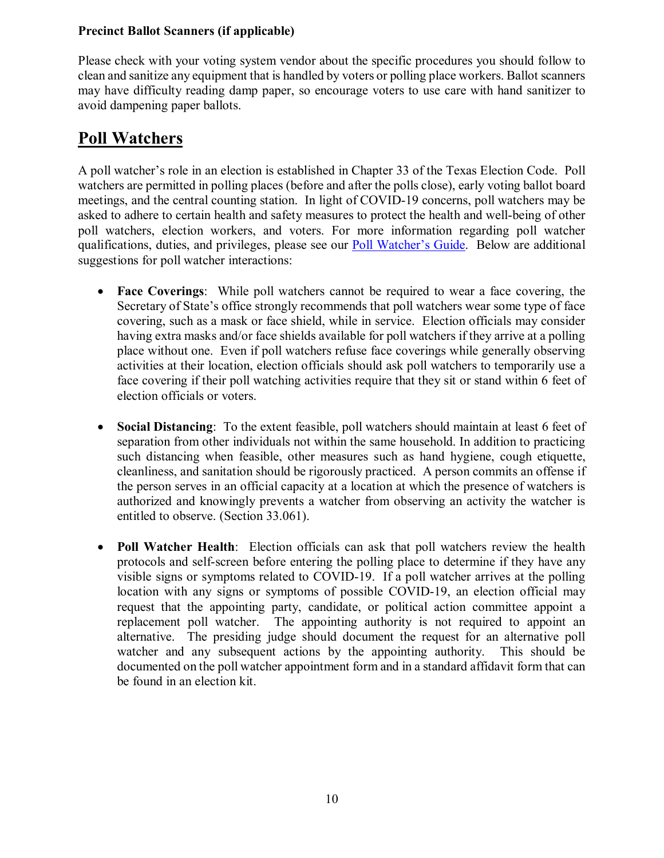#### **Precinct Ballot Scanners (if applicable)**

Please check with your voting system vendor about the specific procedures you should follow to clean and sanitize any equipment that is handled by voters or polling place workers. Ballot scanners may have difficulty reading damp paper, so encourage voters to use care with hand sanitizer to avoid dampening paper ballots.

# **Poll Watchers**

A poll watcher's role in an election is established in Chapter 33 of the Texas Election Code. Poll watchers are permitted in polling places (before and after the polls close), early voting ballot board meetings, and the central counting station. In light of COVID-19 concerns, poll watchers may be asked to adhere to certain health and safety measures to protect the health and well-being of other poll watchers, election workers, and voters. For more information regarding poll watcher qualifications, duties, and privileges, please see our [Poll Watcher's Guide.](https://www.sos.state.tx.us/elections/forms/pollwatchers-guide.pdf) Below are additional suggestions for poll watcher interactions:

- **Face Coverings**: While poll watchers cannot be required to wear a face covering, the Secretary of State's office strongly recommends that poll watchers wear some type of face covering, such as a mask or face shield, while in service. Election officials may consider having extra masks and/or face shields available for poll watchers if they arrive at a polling place without one. Even if poll watchers refuse face coverings while generally observing activities at their location, election officials should ask poll watchers to temporarily use a face covering if their poll watching activities require that they sit or stand within 6 feet of election officials or voters.
- **Social Distancing**: To the extent feasible, poll watchers should maintain at least 6 feet of separation from other individuals not within the same household. In addition to practicing such distancing when feasible, other measures such as hand hygiene, cough etiquette, cleanliness, and sanitation should be rigorously practiced. A person commits an offense if the person serves in an official capacity at a location at which the presence of watchers is authorized and knowingly prevents a watcher from observing an activity the watcher is entitled to observe. (Section 33.061).
- **Poll Watcher Health**: Election officials can ask that poll watchers review the health protocols and self-screen before entering the polling place to determine if they have any visible signs or symptoms related to COVID-19. If a poll watcher arrives at the polling location with any signs or symptoms of possible COVID-19, an election official may request that the appointing party, candidate, or political action committee appoint a replacement poll watcher. The appointing authority is not required to appoint an alternative. The presiding judge should document the request for an alternative poll watcher and any subsequent actions by the appointing authority. This should be documented on the poll watcher appointment form and in a standard affidavit form that can be found in an election kit.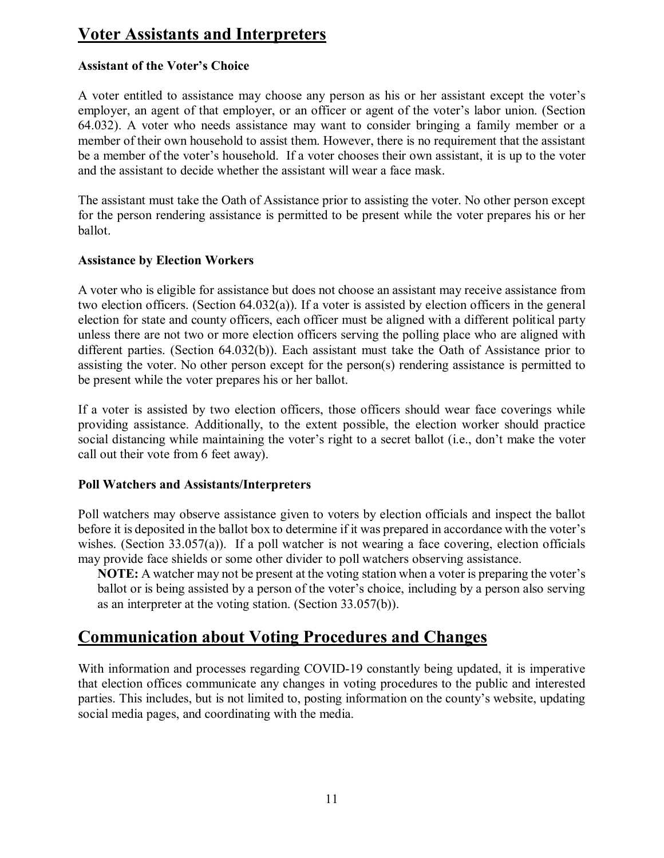# **Voter Assistants and Interpreters**

#### **Assistant of the Voter's Choice**

A voter entitled to assistance may choose any person as his or her assistant except the voter's employer, an agent of that employer, or an officer or agent of the voter's labor union. (Section 64.032). A voter who needs assistance may want to consider bringing a family member or a member of their own household to assist them. However, there is no requirement that the assistant be a member of the voter's household. If a voter chooses their own assistant, it is up to the voter and the assistant to decide whether the assistant will wear a face mask.

The assistant must take the Oath of Assistance prior to assisting the voter. No other person except for the person rendering assistance is permitted to be present while the voter prepares his or her ballot.

#### **Assistance by Election Workers**

A voter who is eligible for assistance but does not choose an assistant may receive assistance from two election officers. (Section 64.032(a)). If a voter is assisted by election officers in the general election for state and county officers, each officer must be aligned with a different political party unless there are not two or more election officers serving the polling place who are aligned with different parties. (Section 64.032(b)). Each assistant must take the Oath of Assistance prior to assisting the voter. No other person except for the person(s) rendering assistance is permitted to be present while the voter prepares his or her ballot.

If a voter is assisted by two election officers, those officers should wear face coverings while providing assistance. Additionally, to the extent possible, the election worker should practice social distancing while maintaining the voter's right to a secret ballot (i.e., don't make the voter call out their vote from 6 feet away).

#### **Poll Watchers and Assistants/Interpreters**

Poll watchers may observe assistance given to voters by election officials and inspect the ballot before it is deposited in the ballot box to determine if it was prepared in accordance with the voter's wishes. (Section 33.057(a)). If a poll watcher is not wearing a face covering, election officials may provide face shields or some other divider to poll watchers observing assistance.

**NOTE:** A watcher may not be present at the voting station when a voter is preparing the voter's ballot or is being assisted by a person of the voter's choice, including by a person also serving as an interpreter at the voting station. (Section 33.057(b)).

### **Communication about Voting Procedures and Changes**

With information and processes regarding COVID-19 constantly being updated, it is imperative that election offices communicate any changes in voting procedures to the public and interested parties. This includes, but is not limited to, posting information on the county's website, updating social media pages, and coordinating with the media.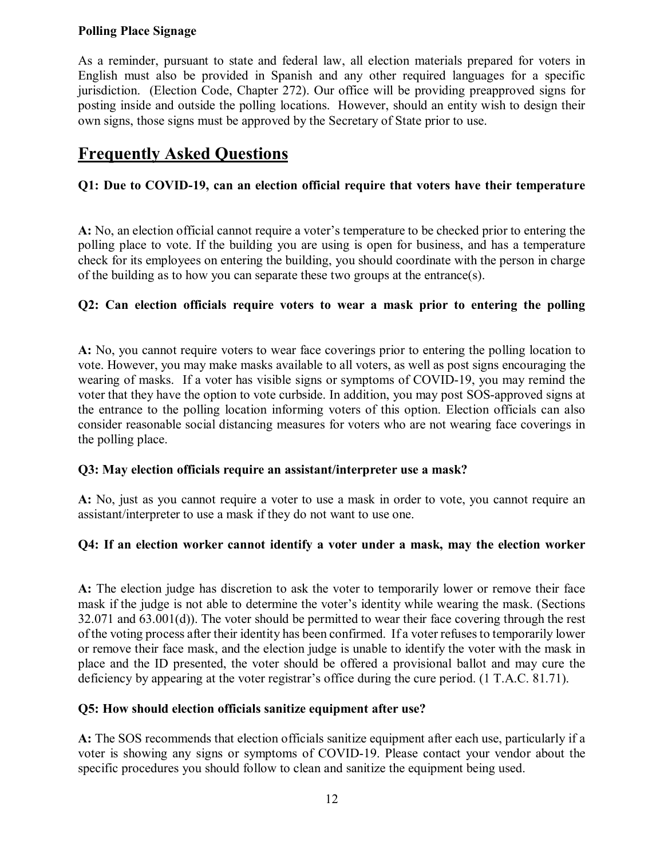#### **Polling Place Signage**

As a reminder, pursuant to state and federal law, all election materials prepared for voters in English must also be provided in Spanish and any other required languages for a specific jurisdiction. (Election Code, Chapter 272). Our office will be providing preapproved signs for posting inside and outside the polling locations. However, should an entity wish to design their own signs, those signs must be approved by the Secretary of State prior to use.

# **Frequently Asked Questions**

#### **Q1: Due to COVID-19, can an election official require that voters have their temperature**

**A:** No, an election official cannot require a voter's temperature to be checked prior to entering the polling place to vote. If the building you are using is open for business, and has a temperature check for its employees on entering the building, you should coordinate with the person in charge of the building as to how you can separate these two groups at the entrance(s).

#### **Q2: Can election officials require voters to wear a mask prior to entering the polling**

**A:** No, you cannot require voters to wear face coverings prior to entering the polling location to vote. However, you may make masks available to all voters, as well as post signs encouraging the wearing of masks. If a voter has visible signs or symptoms of COVID-19, you may remind the voter that they have the option to vote curbside. In addition, you may post SOS-approved signs at the entrance to the polling location informing voters of this option. Election officials can also consider reasonable social distancing measures for voters who are not wearing face coverings in the polling place.

#### **Q3: May election officials require an assistant/interpreter use a mask?**

**A:** No, just as you cannot require a voter to use a mask in order to vote, you cannot require an assistant/interpreter to use a mask if they do not want to use one.

#### **Q4: If an election worker cannot identify a voter under a mask, may the election worker**

**A:** The election judge has discretion to ask the voter to temporarily lower or remove their face mask if the judge is not able to determine the voter's identity while wearing the mask. (Sections 32.071 and 63.001(d)). The voter should be permitted to wear their face covering through the rest of the voting process after their identity has been confirmed. If a voter refuses to temporarily lower or remove their face mask, and the election judge is unable to identify the voter with the mask in place and the ID presented, the voter should be offered a provisional ballot and may cure the deficiency by appearing at the voter registrar's office during the cure period. (1 T.A.C. 81.71).

#### **Q5: How should election officials sanitize equipment after use?**

**A:** The SOS recommends that election officials sanitize equipment after each use, particularly if a voter is showing any signs or symptoms of COVID-19. Please contact your vendor about the specific procedures you should follow to clean and sanitize the equipment being used.